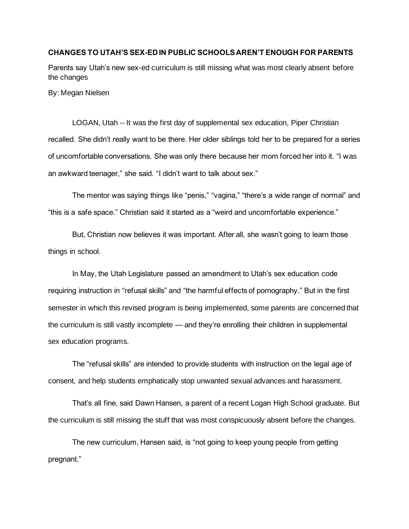## **CHANGES TO UTAH'S SEX-ED IN PUBLIC SCHOOLS AREN'T ENOUGH FOR PARENTS**

Parents say Utah's new sex-ed curriculum is still missing what was most clearly absent before the changes

By: Megan Nielsen

LOGAN, Utah -- It was the first day of supplemental sex education, Piper Christian recalled. She didn't really want to be there. Her older siblings told her to be prepared for a series of uncomfortable conversations. She was only there because her mom forced her into it. "I was an awkward teenager," she said. "I didn't want to talk about sex."

The mentor was saying things like "penis," "vagina," "there's a wide range of normal" and "this is a safe space." Christian said it started as a "weird and uncomfortable experience."

But, Christian now believes it was important. After all, she wasn't going to learn those things in school.

In May, the Utah Legislature passed an amendment to Utah's sex education code requiring instruction in "refusal skills" and "the harmful effects of pornography." But in the first semester in which this revised program is being implemented, some parents are concerned that the curriculum is still vastly incomplete — and they're enrolling their children in supplemental sex education programs.

The "refusal skills" are intended to provide students with instruction on the legal age of consent, and help students emphatically stop unwanted sexual advances and harassment.

That's all fine, said Dawn Hansen, a parent of a recent Logan High School graduate. But the curriculum is still missing the stuff that was most conspicuously absent before the changes.

The new curriculum, Hansen said, is "not going to keep young people from getting pregnant."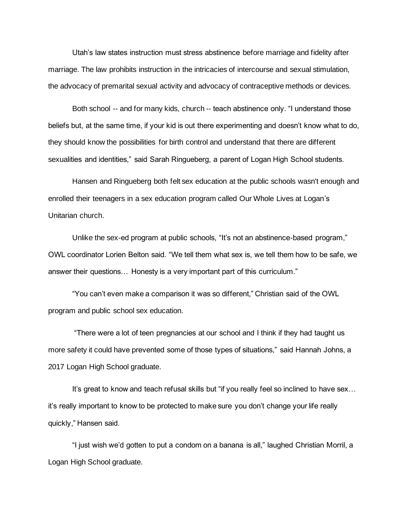Utah's law states instruction must stress abstinence before marriage and fidelity after marriage. The law prohibits instruction in the intricacies of intercourse and sexual stimulation, the advocacy of premarital sexual activity and advocacy of contraceptive methods or devices.

Both school -- and for many kids, church -- teach abstinence only. "I understand those beliefs but, at the same time, if your kid is out there experimenting and doesn't know what to do, they should know the possibilities for birth control and understand that there are different sexualities and identities," said Sarah Ringueberg, a parent of Logan High School students.

Hansen and Ringueberg both felt sex education at the public schools wasn't enough and enrolled their teenagers in a sex education program called Our Whole Lives at Logan's Unitarian church.

Unlike the sex-ed program at public schools, "It's not an abstinence-based program," OWL coordinator Lorien Belton said. "We tell them what sex is, we tell them how to be safe, we answer their questions… Honesty is a very important part of this curriculum."

"You can't even make a comparison it was so different," Christian said of the OWL program and public school sex education.

"There were a lot of teen pregnancies at our school and I think if they had taught us more safety it could have prevented some of those types of situations," said Hannah Johns, a 2017 Logan High School graduate.

It's great to know and teach refusal skills but "if you really feel so inclined to have sex… it's really important to know to be protected to make sure you don't change your life really quickly," Hansen said.

"I just wish we'd gotten to put a condom on a banana is all," laughed Christian Morril, a Logan High School graduate.